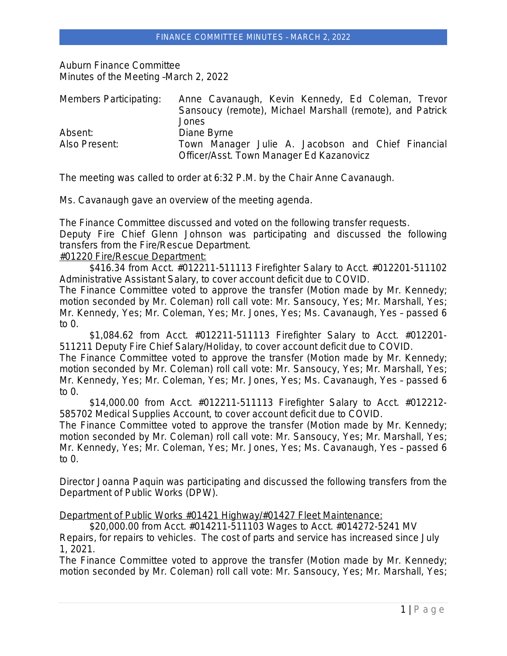Auburn Finance Committee Minutes of the Meeting –March 2, 2022

| Members Participating: | Anne Cavanaugh, Kevin Kennedy, Ed Coleman, Trevor         |
|------------------------|-----------------------------------------------------------|
|                        | Sansoucy (remote), Michael Marshall (remote), and Patrick |
|                        | Jones                                                     |
| Absent:                | Diane Byrne                                               |
| Also Present:          | Town Manager Julie A. Jacobson and Chief Financial        |
|                        | Officer/Asst. Town Manager Ed Kazanovicz                  |

The meeting was called to order at 6:32 P.M. by the Chair Anne Cavanaugh.

Ms. Cavanaugh gave an overview of the meeting agenda.

The Finance Committee discussed and voted on the following transfer requests. Deputy Fire Chief Glenn Johnson was participating and discussed the following transfers from the Fire/Rescue Department. #01220 Fire/Rescue Department:

\$416.34 from Acct. #012211-511113 Firefighter Salary to Acct. #012201-511102 Administrative Assistant Salary, to cover account deficit due to COVID.

The Finance Committee voted to approve the transfer (Motion made by Mr. Kennedy; motion seconded by Mr. Coleman) roll call vote: Mr. Sansoucy, Yes; Mr. Marshall, Yes; Mr. Kennedy, Yes; Mr. Coleman, Yes; Mr. Jones, Yes; Ms. Cavanaugh, Yes – passed 6 to 0.

\$1,084.62 from Acct. #012211-511113 Firefighter Salary to Acct. #012201- 511211 Deputy Fire Chief Salary/Holiday, to cover account deficit due to COVID.

The Finance Committee voted to approve the transfer (Motion made by Mr. Kennedy; motion seconded by Mr. Coleman) roll call vote: Mr. Sansoucy, Yes; Mr. Marshall, Yes; Mr. Kennedy, Yes; Mr. Coleman, Yes; Mr. Jones, Yes; Ms. Cavanaugh, Yes – passed 6 to  $0.$ 

\$14,000.00 from Acct. #012211-511113 Firefighter Salary to Acct. #012212- 585702 Medical Supplies Account, to cover account deficit due to COVID.

The Finance Committee voted to approve the transfer (Motion made by Mr. Kennedy; motion seconded by Mr. Coleman) roll call vote: Mr. Sansoucy, Yes; Mr. Marshall, Yes; Mr. Kennedy, Yes; Mr. Coleman, Yes; Mr. Jones, Yes; Ms. Cavanaugh, Yes – passed 6 to 0.

Director Joanna Paquin was participating and discussed the following transfers from the Department of Public Works (DPW).

Department of Public Works #01421 Highway/#01427 Fleet Maintenance:

\$20,000.00 from Acct. #014211-511103 Wages to Acct. #014272-5241 MV Repairs, for repairs to vehicles. The cost of parts and service has increased since July 1, 2021.

The Finance Committee voted to approve the transfer (Motion made by Mr. Kennedy; motion seconded by Mr. Coleman) roll call vote: Mr. Sansoucy, Yes; Mr. Marshall, Yes;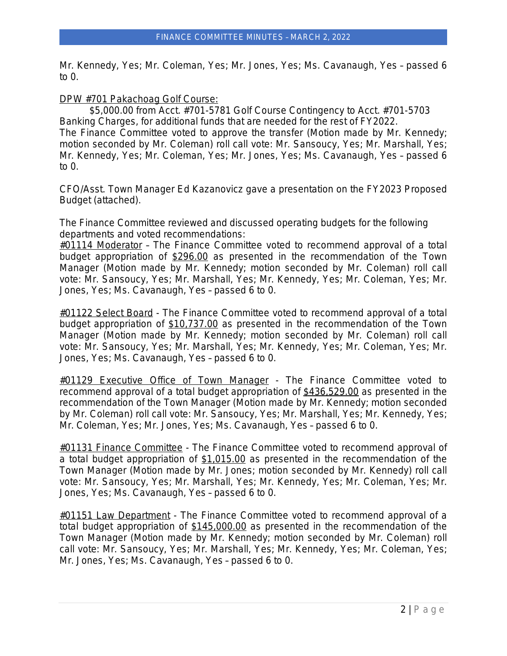Mr. Kennedy, Yes; Mr. Coleman, Yes; Mr. Jones, Yes; Ms. Cavanaugh, Yes – passed 6 to 0.

DPW #701 Pakachoag Golf Course:

\$5,000.00 from Acct. #701-5781 Golf Course Contingency to Acct. #701-5703 Banking Charges, for additional funds that are needed for the rest of FY2022. The Finance Committee voted to approve the transfer (Motion made by Mr. Kennedy; motion seconded by Mr. Coleman) roll call vote: Mr. Sansoucy, Yes; Mr. Marshall, Yes; Mr. Kennedy, Yes; Mr. Coleman, Yes; Mr. Jones, Yes; Ms. Cavanaugh, Yes – passed 6 to 0.

CFO/Asst. Town Manager Ed Kazanovicz gave a presentation on the FY2023 Proposed Budget (attached).

The Finance Committee reviewed and discussed operating budgets for the following departments and voted recommendations:

 $\#01114$  Moderator - The Finance Committee voted to recommend approval of a total budget appropriation of \$296.00 as presented in the recommendation of the Town Manager (Motion made by Mr. Kennedy; motion seconded by Mr. Coleman) roll call vote: Mr. Sansoucy, Yes; Mr. Marshall, Yes; Mr. Kennedy, Yes; Mr. Coleman, Yes; Mr. Jones, Yes; Ms. Cavanaugh, Yes – passed 6 to 0.

#01122 Select Board - The Finance Committee voted to recommend approval of a total budget appropriation of \$10,737.00 as presented in the recommendation of the Town Manager (Motion made by Mr. Kennedy; motion seconded by Mr. Coleman) roll call vote: Mr. Sansoucy, Yes; Mr. Marshall, Yes; Mr. Kennedy, Yes; Mr. Coleman, Yes; Mr. Jones, Yes; Ms. Cavanaugh, Yes – passed 6 to 0.

#01129 Executive Office of Town Manager - The Finance Committee voted to recommend approval of a total budget appropriation of \$436,529.00 as presented in the recommendation of the Town Manager (Motion made by Mr. Kennedy; motion seconded by Mr. Coleman) roll call vote: Mr. Sansoucy, Yes; Mr. Marshall, Yes; Mr. Kennedy, Yes; Mr. Coleman, Yes; Mr. Jones, Yes; Ms. Cavanaugh, Yes – passed 6 to 0.

#01131 Finance Committee - The Finance Committee voted to recommend approval of a total budget appropriation of \$1,015.00 as presented in the recommendation of the Town Manager (Motion made by Mr. Jones; motion seconded by Mr. Kennedy) roll call vote: Mr. Sansoucy, Yes; Mr. Marshall, Yes; Mr. Kennedy, Yes; Mr. Coleman, Yes; Mr. Jones, Yes; Ms. Cavanaugh, Yes – passed 6 to 0.

#01151 Law Department - The Finance Committee voted to recommend approval of a total budget appropriation of \$145,000.00 as presented in the recommendation of the Town Manager (Motion made by Mr. Kennedy; motion seconded by Mr. Coleman) roll call vote: Mr. Sansoucy, Yes; Mr. Marshall, Yes; Mr. Kennedy, Yes; Mr. Coleman, Yes; Mr. Jones, Yes; Ms. Cavanaugh, Yes – passed 6 to 0.